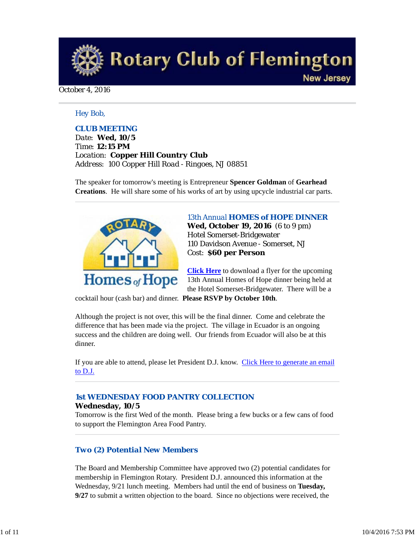**Rotary Club of Flemington New Jersey** 

October 4, 2016

### *Hey Bob,*

### *CLUB MEETING*

*Date: Wed, 10/5 Time: 12:15 PM Location: Copper Hill Country Club Address: 100 Copper Hill Road - Ringoes, NJ 08851*

The speaker for tomorrow's meeting is Entrepreneur **Spencer Goldman** of **Gearhead Creations**. He will share some of his works of art by using upcycle industrial car parts.



*13th Annual HOMES of HOPE DINNER* **Wed, October 19, 2016** (6 to 9 pm) Hotel Somerset-Bridgewater 110 Davidson Avenue - Somerset, NJ Cost: **\$60 per Person**

**Click Here** to download a flyer for the upcoming 13th Annual Homes of Hope dinner being held at the Hotel Somerset-Bridgewater. There will be a

cocktail hour (cash bar) and dinner. **Please RSVP by October 10th**.

Although the project is not over, this will be the final dinner. Come and celebrate the difference that has been made via the project. The village in Ecuador is an ongoing success and the children are doing well. Our friends from Ecuador will also be at this dinner.

If you are able to attend, please let President D.J. know. Click Here to generate an email to D.J.

### *1st WEDNESDAY FOOD PANTRY COLLECTION*

#### **Wednesday, 10/5**

Tomorrow is the first Wed of the month. Please bring a few bucks or a few cans of food to support the Flemington Area Food Pantry.

### *Two (2) Potential New Members*

The Board and Membership Committee have approved two (2) potential candidates for membership in Flemington Rotary. President D.J. announced this information at the Wednesday, 9/21 lunch meeting. Members had until the end of business on **Tuesday, 9/27** to submit a written objection to the board. Since no objections were received, the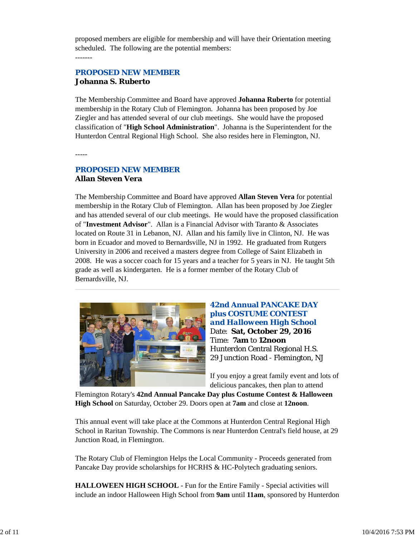proposed members are eligible for membership and will have their Orientation meeting scheduled. The following are the potential members: -------

## *PROPOSED NEW MEMBER* **Johanna S. Ruberto**

The Membership Committee and Board have approved **Johanna Ruberto** for potential membership in the Rotary Club of Flemington. Johanna has been proposed by Joe Ziegler and has attended several of our club meetings. She would have the proposed classification of "**High School Administration**". Johanna is the Superintendent for the Hunterdon Central Regional High School. She also resides here in Flemington, NJ.

-----

## *PROPOSED NEW MEMBER* **Allan Steven Vera**

The Membership Committee and Board have approved **Allan Steven Vera** for potential membership in the Rotary Club of Flemington. Allan has been proposed by Joe Ziegler and has attended several of our club meetings. He would have the proposed classification of "**Investment Advisor**". Allan is a Financial Advisor with Taranto & Associates located on Route 31 in Lebanon, NJ. Allan and his family live in Clinton, NJ. He was born in Ecuador and moved to Bernardsville, NJ in 1992. He graduated from Rutgers University in 2006 and received a masters degree from College of Saint Elizabeth in 2008. He was a soccer coach for 15 years and a teacher for 5 years in NJ. He taught 5th grade as well as kindergarten. He is a former member of the Rotary Club of Bernardsville, NJ.



## **42nd Annual PANCAKE DAY plus COSTUME CONTEST**  *and Halloween High School* Date: **Sat, October 29, 2016** Time: **7am** to **12noon** Hunterdon Central Regional H.S. 29 Junction Road - Flemington, NJ

If you enjoy a great family event and lots of delicious pancakes, then plan to attend

Flemington Rotary's **42nd Annual Pancake Day plus Costume Contest & Halloween High School** on Saturday, October 29. Doors open at **7am** and close at **12noon**.

This annual event will take place at the Commons at Hunterdon Central Regional High School in Raritan Township. The Commons is near Hunterdon Central's field house, at 29 Junction Road, in Flemington.

The Rotary Club of Flemington Helps the Local Community - Proceeds generated from Pancake Day provide scholarships for HCRHS & HC-Polytech graduating seniors.

**HALLOWEEN HIGH SCHOOL** - Fun for the Entire Family - Special activities will include an indoor Halloween High School from **9am** until **11am**, sponsored by Hunterdon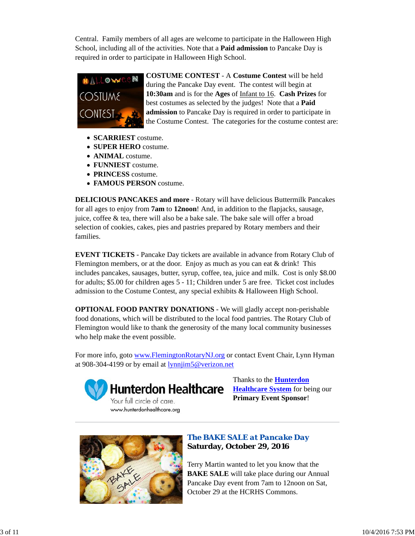Central. Family members of all ages are welcome to participate in the Halloween High School, including all of the activities. Note that a **Paid admission** to Pancake Day is required in order to participate in Halloween High School.



**COSTUME CONTEST** - A **Costume Contest** will be held during the Pancake Day event. The contest will begin at **10:30am** and is for the **Ages** of Infant to 16. **Cash Prizes** for best costumes as selected by the judges! Note that a **Paid admission** to Pancake Day is required in order to participate in the Costume Contest. The categories for the costume contest are:

- **SCARRIEST** costume.
- **SUPER HERO** costume.
- **ANIMAL** costume.
- **FUNNIEST** costume.
- **PRINCESS** costume.
- **FAMOUS PERSON** costume.

**DELICIOUS PANCAKES and more** - Rotary will have delicious Buttermilk Pancakes for all ages to enjoy from **7am** to **12noon**! And, in addition to the flapjacks, sausage, juice, coffee & tea, there will also be a bake sale. The bake sale will offer a broad selection of cookies, cakes, pies and pastries prepared by Rotary members and their families.

**EVENT TICKETS** - Pancake Day tickets are available in advance from Rotary Club of Flemington members, or at the door. Enjoy as much as you can eat  $&$  drink! This includes pancakes, sausages, butter, syrup, coffee, tea, juice and milk. Cost is only \$8.00 for adults; \$5.00 for children ages 5 - 11; Children under 5 are free. Ticket cost includes admission to the Costume Contest, any special exhibits & Halloween High School.

**OPTIONAL FOOD PANTRY DONATIONS** - We will gladly accept non-perishable food donations, which will be distributed to the local food pantries. The Rotary Club of Flemington would like to thank the generosity of the many local community businesses who help make the event possible.

For more info, goto www.FlemingtonRotaryNJ.org or contact Event Chair, Lynn Hyman at 908-304-4199 or by email at lynnjim5@verizon.net



**Hunterdon Healthcare** 

Your full circle of care. www.hunterdonhealthcare.org Thanks to the **Hunterdon Healthcare System** for being our **Primary Event Sponsor**!



# *The BAKE SALE at Pancake Day* **Saturday, October 29, 2016**

Terry Martin wanted to let you know that the **BAKE SALE** will take place during our Annual Pancake Day event from 7am to 12noon on Sat, October 29 at the HCRHS Commons.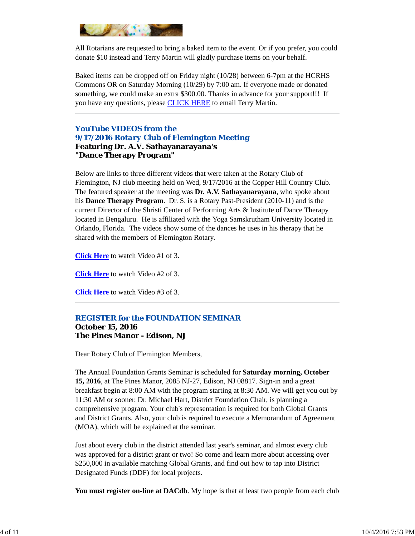

All Rotarians are requested to bring a baked item to the event. Or if you prefer, you could donate \$10 instead and Terry Martin will gladly purchase items on your behalf.

Baked items can be dropped off on Friday night (10/28) between 6-7pm at the HCRHS Commons OR on Saturday Morning (10/29) by 7:00 am. If everyone made or donated something, we could make an extra \$300.00. Thanks in advance for your support!!! If you have any questions, please **CLICK HERE** to email Terry Martin.

*YouTube VIDEOS from the 9/17/2016 Rotary Club of Flemington Meeting* **Featuring Dr. A.V. Sathayanarayana's "Dance Therapy Program"**

Below are links to three different videos that were taken at the Rotary Club of Flemington, NJ club meeting held on Wed, 9/17/2016 at the Copper Hill Country Club. The featured speaker at the meeting was **Dr. A.V. Sathayanarayana**, who spoke about his **Dance Therapy Program**. Dr. S. is a Rotary Past-President (2010-11) and is the current Director of the Shristi Center of Performing Arts & Institute of Dance Therapy located in Bengaluru. He is affiliated with the Yoga Samskrutham University located in Orlando, Florida. The videos show some of the dances he uses in his therapy that he shared with the members of Flemington Rotary.

**Click Here** to watch Video #1 of 3.

**Click Here** to watch Video #2 of 3.

**Click Here** to watch Video #3 of 3.

## *REGISTER for the FOUNDATION SEMINAR*

### **October 15, 2016 The Pines Manor - Edison, NJ**

Dear Rotary Club of Flemington Members,

The Annual Foundation Grants Seminar is scheduled for **Saturday morning, October 15, 2016**, at The Pines Manor, 2085 NJ-27, Edison, NJ 08817. Sign-in and a great breakfast begin at 8:00 AM with the program starting at 8:30 AM. We will get you out by 11:30 AM or sooner. Dr. Michael Hart, District Foundation Chair, is planning a comprehensive program. Your club's representation is required for both Global Grants and District Grants. Also, your club is required to execute a Memorandum of Agreement (MOA), which will be explained at the seminar.

Just about every club in the district attended last year's seminar, and almost every club was approved for a district grant or two! So come and learn more about accessing over \$250,000 in available matching Global Grants, and find out how to tap into District Designated Funds (DDF) for local projects.

**You must register on-line at DACdb**. My hope is that at least two people from each club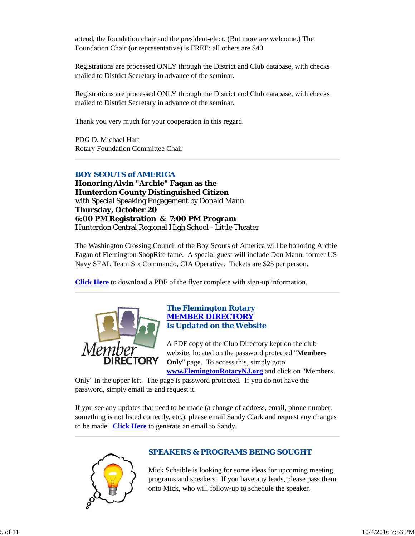attend, the foundation chair and the president-elect. (But more are welcome.) The Foundation Chair (or representative) is FREE; all others are \$40.

Registrations are processed ONLY through the District and Club database, with checks mailed to District Secretary in advance of the seminar.

Registrations are processed ONLY through the District and Club database, with checks mailed to District Secretary in advance of the seminar.

Thank you very much for your cooperation in this regard.

PDG D. Michael Hart Rotary Foundation Committee Chair

## *BOY SCOUTS of AMERICA*

**Honoring Alvin "Archie" Fagan as the Hunterdon County Distinguished Citizen** with Special Speaking Engagement by Donald Mann **Thursday, October 20 6:00 PM Registration & 7:00 PM Program** Hunterdon Central Regional High School - Little Theater

The Washington Crossing Council of the Boy Scouts of America will be honoring Archie Fagan of Flemington ShopRite fame. A special guest will include Don Mann, former US Navy SEAL Team Six Commando, CIA Operative. Tickets are \$25 per person.

**Click Here** to download a PDF of the flyer complete with sign-up information.



### *The Flemington Rotary MEMBER DIRECTORY Is Updated on the Website*

A PDF copy of the Club Directory kept on the club website, located on the password protected "**Members Only**" page. To access this, simply goto **www.FlemingtonRotaryNJ.org** and click on "Members

Only" in the upper left. The page is password protected. If you do not have the

password, simply email us and request it.

If you see any updates that need to be made (a change of address, email, phone number, something is not listed correctly, etc.), please email Sandy Clark and request any changes to be made. **Click Here** to generate an email to Sandy.



## *SPEAKERS & PROGRAMS BEING SOUGHT*

Mick Schaible is looking for some ideas for upcoming meeting programs and speakers. If you have any leads, please pass them onto Mick, who will follow-up to schedule the speaker.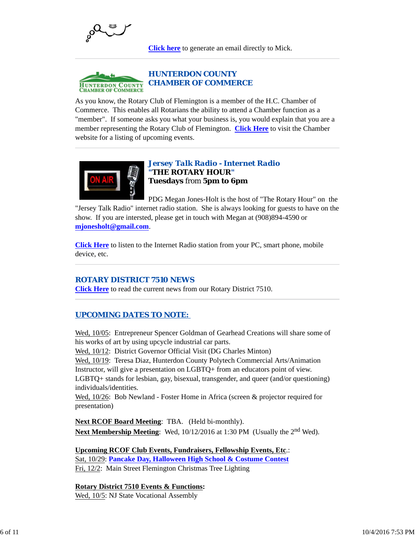

**Click here** to generate an email directly to Mick.



As you know, the Rotary Club of Flemington is a member of the H.C. Chamber of Commerce. This enables all Rotarians the ability to attend a Chamber function as a "member". If someone asks you what your business is, you would explain that you are a member representing the Rotary Club of Flemington. **Click Here** to visit the Chamber website for a listing of upcoming events.



## *Jersey Talk Radio - Internet Radio "THE ROTARY HOUR"* **Tuesdays** from **5pm to 6pm**

PDG Megan Jones-Holt is the host of "The Rotary Hour" on the "Jersey Talk Radio" internet radio station. She is always looking for guests to have on the show. If you are intersted, please get in touch with Megan at (908)894-4590 or **mjonesholt@gmail.com**.

**Click Here** to listen to the Internet Radio station from your PC, smart phone, mobile device, etc.

## *ROTARY DISTRICT 7510 NEWS*

**Click Here** to read the current news from our Rotary District 7510.

## *UPCOMING DATES TO NOTE:*

Wed,  $10/05$ : Entrepreneur Spencer Goldman of Gearhead Creations will share some of his works of art by using upcycle industrial car parts.

Wed, 10/12: District Governor Official Visit (DG Charles Minton)

Wed, 10/19: Teresa Diaz, Hunterdon County Polytech Commercial Arts/Animation Instructor, will give a presentation on LGBTQ+ from an educators point of view.

LGBTQ+ stands for lesbian, gay, bisexual, transgender, and queer (and/or questioning) individuals/identities.

Wed,  $10/26$ : Bob Newland - Foster Home in Africa (screen & projector required for presentation)

**Next RCOF Board Meeting**: TBA. (Held bi-monthly). **Next Membership Meeting**: Wed, 10/12/2016 at 1:30 PM (Usually the 2<sup>nd</sup> Wed).

**Upcoming RCOF Club Events, Fundraisers, Fellowship Events, Etc**.: Sat, 10/29: **Pancake Day, Halloween High School & Costume Contest** Fri, 12/2: Main Street Flemington Christmas Tree Lighting

**Rotary District 7510 Events & Functions:**

Wed, 10/5: NJ State Vocational Assembly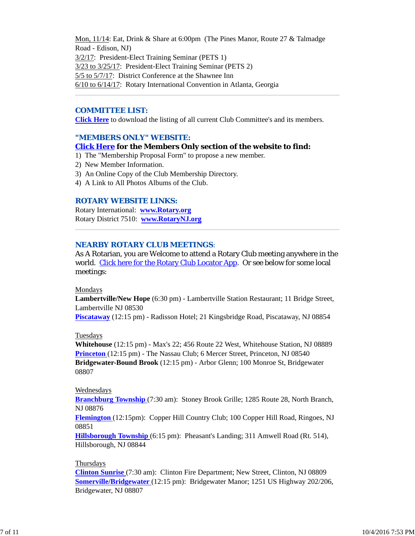Mon, 11/14: Eat, Drink & Share at 6:00pm (The Pines Manor, Route 27 & Talmadge Road - Edison, NJ) 3/2/17: President-Elect Training Seminar (PETS 1) 3/23 to 3/25/17: President-Elect Training Seminar (PETS 2) 5/5 to 5/7/17: District Conference at the Shawnee Inn 6/10 to 6/14/17: Rotary International Convention in Atlanta, Georgia

### *COMMITTEE LIST:*

**Click Here** to download the listing of all current Club Committee's and its members.

### *"MEMBERS ONLY" WEBSITE:*

### **Click Here for the Members Only section of the website to find:**

- 1) The "Membership Proposal Form" to propose a new member.
- 2) New Member Information.
- 3) An Online Copy of the Club Membership Directory.
- 4) A Link to All Photos Albums of the Club.

### *ROTARY WEBSITE LINKS:*

Rotary International: **www.Rotary.org** Rotary District 7510: **www.RotaryNJ.org**

### *NEARBY ROTARY CLUB MEETINGS:*

As A Rotarian, you are Welcome to attend a Rotary Club meeting anywhere in the world. Click here for the Rotary Club Locator App. Or see below for some local meetings:

#### Mondays

**Lambertville/New Hope** (6:30 pm) - Lambertville Station Restaurant; 11 Bridge Street, Lambertville NJ 08530

**Piscataway** (12:15 pm) - Radisson Hotel; 21 Kingsbridge Road, Piscataway, NJ 08854

#### Tuesdays

**Whitehouse** (12:15 pm) - Max's 22; 456 Route 22 West, Whitehouse Station, NJ 08889 **Princeton** (12:15 pm) - The Nassau Club; 6 Mercer Street, Princeton, NJ 08540 **Bridgewater-Bound Brook** (12:15 pm) - Arbor Glenn; 100 Monroe St, Bridgewater 08807

#### Wednesdays

**Branchburg Township** (7:30 am): Stoney Brook Grille; 1285 Route 28, North Branch, NJ 08876

**Flemington** (12:15pm): Copper Hill Country Club; 100 Copper Hill Road, Ringoes, NJ 08851

**Hillsborough Township** (6:15 pm): Pheasant's Landing; 311 Amwell Road (Rt. 514), Hillsborough, NJ 08844

#### Thursdays

**Clinton Sunrise** (7:30 am): Clinton Fire Department; New Street, Clinton, NJ 08809 **Somerville/Bridgewater** (12:15 pm): Bridgewater Manor; 1251 US Highway 202/206, Bridgewater, NJ 08807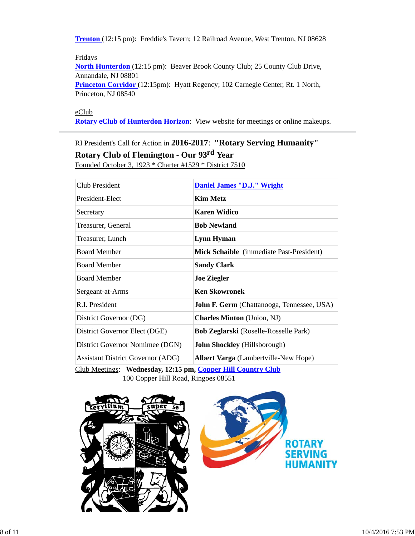**Trenton** (12:15 pm): Freddie's Tavern; 12 Railroad Avenue, West Trenton, NJ 08628

Fridays **North Hunterdon** (12:15 pm): Beaver Brook County Club; 25 County Club Drive, Annandale, NJ 08801 **Princeton Corridor** (12:15pm): Hyatt Regency; 102 Carnegie Center, Rt. 1 North, Princeton, NJ 08540

eClub

**Rotary eClub of Hunterdon Horizon**: View website for meetings or online makeups.

RI President's Call for Action in **2016-2017**: **"Rotary Serving Humanity"**

**Rotary Club of Flemington - Our 93rd Year**

Founded October 3, 1923 \* Charter #1529 \* District 7510

| Club President                           | Daniel James "D.J." Wright                        |
|------------------------------------------|---------------------------------------------------|
| President-Elect                          | <b>Kim Metz</b>                                   |
| Secretary                                | <b>Karen Widico</b>                               |
| Treasurer, General                       | <b>Bob Newland</b>                                |
| Treasurer, Lunch                         | Lynn Hyman                                        |
| <b>Board Member</b>                      | Mick Schaible (immediate Past-President)          |
| <b>Board Member</b>                      | <b>Sandy Clark</b>                                |
| <b>Board Member</b>                      | <b>Joe Ziegler</b>                                |
| Sergeant-at-Arms                         | <b>Ken Skowronek</b>                              |
| R.I. President                           | <b>John F. Germ</b> (Chattanooga, Tennessee, USA) |
| District Governor (DG)                   | <b>Charles Minton</b> (Union, NJ)                 |
| District Governor Elect (DGE)            | <b>Bob Zeglarski</b> (Roselle-Rosselle Park)      |
| District Governor Nomimee (DGN)          | John Shockley (Hillsborough)                      |
| <b>Assistant District Governor (ADG)</b> | <b>Albert Varga</b> (Lambertville-New Hope)       |
|                                          |                                                   |

Club Meetings: **Wednesday, 12:15 pm, Copper Hill Country Club** 100 Copper Hill Road, Ringoes 08551

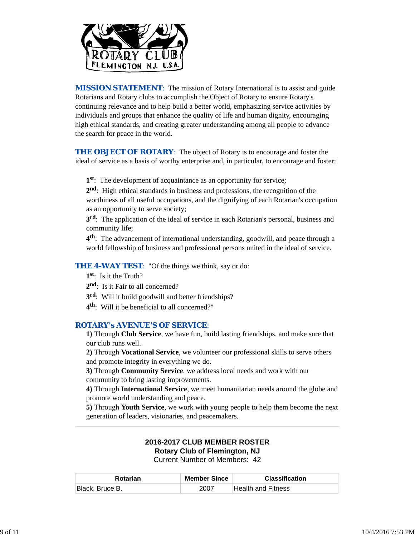

*MISSION STATEMENT*: The mission of Rotary International is to assist and guide Rotarians and Rotary clubs to accomplish the Object of Rotary to ensure Rotary's continuing relevance and to help build a better world, emphasizing service activities by individuals and groups that enhance the quality of life and human dignity, encouraging high ethical standards, and creating greater understanding among all people to advance the search for peace in the world.

**THE OBJECT OF ROTARY:** The object of Rotary is to encourage and foster the ideal of service as a basis of worthy enterprise and, in particular, to encourage and foster:

**1st**: The development of acquaintance as an opportunity for service;

**2nd**: High ethical standards in business and professions, the recognition of the worthiness of all useful occupations, and the dignifying of each Rotarian's occupation as an opportunity to serve society;

**3rd**: The application of the ideal of service in each Rotarian's personal, business and community life;

**4th**: The advancement of international understanding, goodwill, and peace through a world fellowship of business and professional persons united in the ideal of service.

**THE 4-WAY TEST:** "Of the things we think, say or do:

- **1st**: Is it the Truth?
- 2<sup>nd</sup>: Is it Fair to all concerned?
- **3rd**: Will it build goodwill and better friendships?
- **4th**: Will it be beneficial to all concerned?"

### *ROTARY's AVENUE'S OF SERVICE*:

**1)** Through **Club Service**, we have fun, build lasting friendships, and make sure that our club runs well.

**2)** Through **Vocational Service**, we volunteer our professional skills to serve others and promote integrity in everything we do.

**3)** Through **Community Service**, we address local needs and work with our community to bring lasting improvements.

**4)** Through **International Service**, we meet humanitarian needs around the globe and promote world understanding and peace.

**5)** Through **Youth Service**, we work with young people to help them become the next generation of leaders, visionaries, and peacemakers.

# **2016-2017 CLUB MEMBER ROSTER Rotary Club of Flemington, NJ**

Current Number of Members: 42

| <b>Rotarian</b> | <b>Member Since</b> | <b>Classification</b>     |
|-----------------|---------------------|---------------------------|
| Black, Bruce B. | 2007                | <b>Health and Fitness</b> |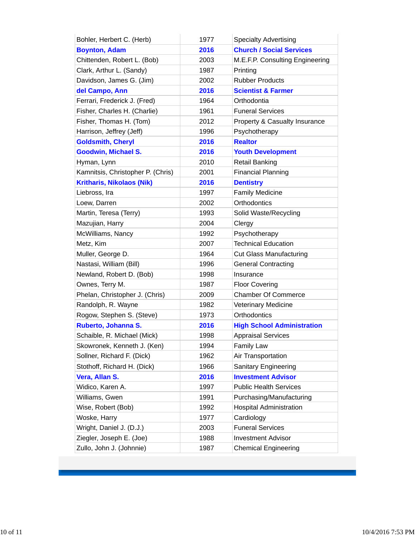| Bohler, Herbert C. (Herb)         | 1977 | <b>Specialty Advertising</b>             |
|-----------------------------------|------|------------------------------------------|
| <b>Boynton, Adam</b>              | 2016 | <b>Church / Social Services</b>          |
| Chittenden, Robert L. (Bob)       | 2003 | M.E.F.P. Consulting Engineering          |
| Clark, Arthur L. (Sandy)          | 1987 | Printing                                 |
| Davidson, James G. (Jim)          | 2002 | <b>Rubber Products</b>                   |
| del Campo, Ann                    | 2016 | <b>Scientist &amp; Farmer</b>            |
| Ferrari, Frederick J. (Fred)      | 1964 | Orthodontia                              |
| Fisher, Charles H. (Charlie)      | 1961 | <b>Funeral Services</b>                  |
| Fisher, Thomas H. (Tom)           | 2012 | <b>Property &amp; Casualty Insurance</b> |
| Harrison, Jeffrey (Jeff)          | 1996 | Psychotherapy                            |
| <b>Goldsmith, Cheryl</b>          | 2016 | <b>Realtor</b>                           |
| <b>Goodwin, Michael S.</b>        | 2016 | <b>Youth Development</b>                 |
| Hyman, Lynn                       | 2010 | Retail Banking                           |
| Kamnitsis, Christopher P. (Chris) | 2001 | <b>Financial Planning</b>                |
| <b>Kritharis, Nikolaos (Nik)</b>  | 2016 | <b>Dentistry</b>                         |
| Liebross, Ira                     | 1997 | <b>Family Medicine</b>                   |
| Loew, Darren                      | 2002 | Orthodontics                             |
| Martin, Teresa (Terry)            | 1993 | Solid Waste/Recycling                    |
| Mazujian, Harry                   | 2004 | Clergy                                   |
| McWilliams, Nancy                 | 1992 | Psychotherapy                            |
| Metz, Kim                         | 2007 | <b>Technical Education</b>               |
| Muller, George D.                 | 1964 | <b>Cut Glass Manufacturing</b>           |
| Nastasi, William (Bill)           | 1996 | <b>General Contracting</b>               |
| Newland, Robert D. (Bob)          | 1998 | Insurance                                |
| Ownes, Terry M.                   | 1987 | <b>Floor Covering</b>                    |
| Phelan, Christopher J. (Chris)    | 2009 | <b>Chamber Of Commerce</b>               |
| Randolph, R. Wayne                | 1982 | <b>Veterinary Medicine</b>               |
| Rogow, Stephen S. (Steve)         | 1973 | Orthodontics                             |
| Ruberto, Johanna S.               | 2016 | <b>High School Administration</b>        |
| Schaible, R. Michael (Mick)       | 1998 | <b>Appraisal Services</b>                |
| Skowronek, Kenneth J. (Ken)       | 1994 | <b>Family Law</b>                        |
| Sollner, Richard F. (Dick)        | 1962 | Air Transportation                       |
| Stothoff, Richard H. (Dick)       | 1966 | <b>Sanitary Engineering</b>              |
| Vera, Allan S.                    | 2016 | <b>Investment Advisor</b>                |
| Widico, Karen A.                  | 1997 | <b>Public Health Services</b>            |
| Williams, Gwen                    | 1991 | Purchasing/Manufacturing                 |
| Wise, Robert (Bob)                | 1992 | <b>Hospital Administration</b>           |
| Woske, Harry                      | 1977 | Cardiology                               |
| Wright, Daniel J. (D.J.)          | 2003 | <b>Funeral Services</b>                  |
| Ziegler, Joseph E. (Joe)          | 1988 | <b>Investment Advisor</b>                |
| Zullo, John J. (Johnnie)          | 1987 | <b>Chemical Engineering</b>              |